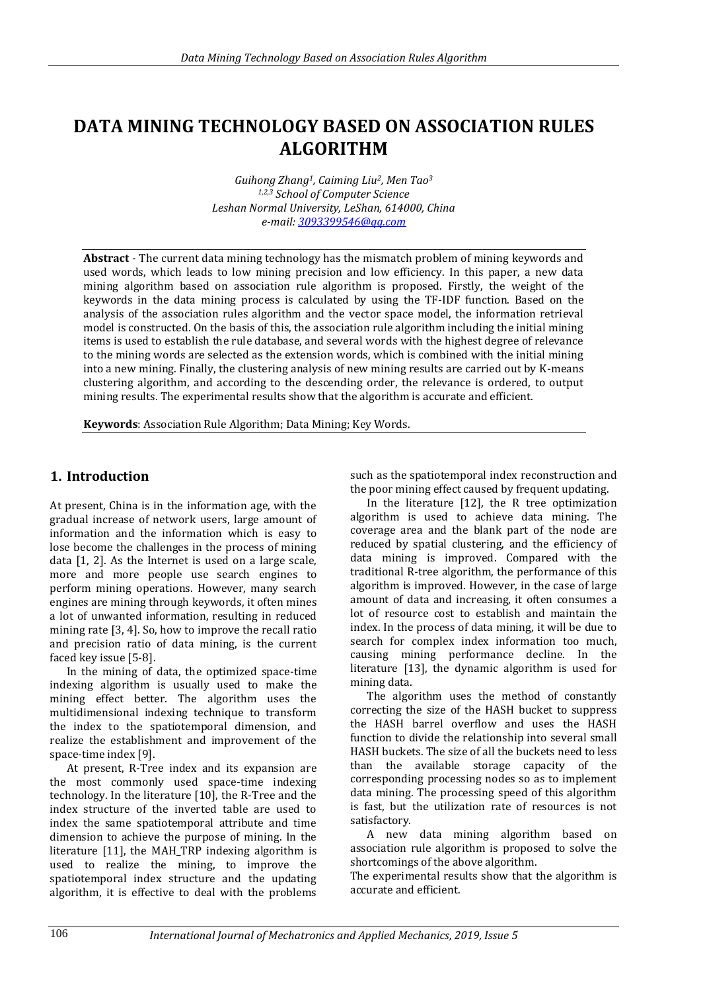# **DATA MINING TECHNOLOGY BASED ON ASSOCIATION RULES ALGORITHM**

*Guihong Zhang1, Caiming Liu2, Men Tao<sup>3</sup> 1,2,3 School of Computer Science Leshan Normal University, LeShan, 614000, China e-mail[: 3093399546@qq.com](mailto:3093399546@qq.com)*

**Abstract** - The current data mining technology has the mismatch problem of mining keywords and used words, which leads to low mining precision and low efficiency. In this paper, a new data mining algorithm based on association rule algorithm is proposed. Firstly, the weight of the keywords in the data mining process is calculated by using the TF-IDF function. Based on the analysis of the association rules algorithm and the vector space model, the information retrieval model is constructed. On the basis of this, the association rule algorithm including the initial mining items is used to establish the rule database, and several words with the highest degree of relevance to the mining words are selected as the extension words, which is combined with the initial mining into a new mining. Finally, the clustering analysis of new mining results are carried out by K-means clustering algorithm, and according to the descending order, the relevance is ordered, to output mining results. The experimental results show that the algorithm is accurate and efficient.

**Keywords**: Association Rule Algorithm; Data Mining; Key Words.

### **1. Introduction**

At present, China is in the information age, with the gradual increase of network users, large amount of information and the information which is easy to lose become the challenges in the process of mining data [1, 2]. As the Internet is used on a large scale, more and more people use search engines to perform mining operations. However, many search engines are mining through keywords, it often mines a lot of unwanted information, resulting in reduced mining rate [3, 4]. So, how to improve the recall ratio and precision ratio of data mining, is the current faced key issue [5-8].

In the mining of data, the optimized space-time indexing algorithm is usually used to make the mining effect better. The algorithm uses the multidimensional indexing technique to transform the index to the spatiotemporal dimension, and realize the establishment and improvement of the space-time index [9].

At present, R-Tree index and its expansion are the most commonly used space-time indexing technology. In the literature [10], the R-Tree and the index structure of the inverted table are used to index the same spatiotemporal attribute and time dimension to achieve the purpose of mining. In the literature [11], the MAH\_TRP indexing algorithm is used to realize the mining, to improve the spatiotemporal index structure and the updating algorithm, it is effective to deal with the problems

such as the spatiotemporal index reconstruction and the poor mining effect caused by frequent updating.

In the literature [12], the R tree optimization algorithm is used to achieve data mining. The coverage area and the blank part of the node are reduced by spatial clustering, and the efficiency of data mining is improved. Compared with the traditional R-tree algorithm, the performance of this algorithm is improved. However, in the case of large amount of data and increasing, it often consumes a lot of resource cost to establish and maintain the index. In the process of data mining, it will be due to search for complex index information too much, causing mining performance decline. In the literature [13], the dynamic algorithm is used for mining data.

The algorithm uses the method of constantly correcting the size of the HASH bucket to suppress the HASH barrel overflow and uses the HASH function to divide the relationship into several small HASH buckets. The size of all the buckets need to less than the available storage capacity of the corresponding processing nodes so as to implement data mining. The processing speed of this algorithm is fast, but the utilization rate of resources is not satisfactory.

A new data mining algorithm based on association rule algorithm is proposed to solve the shortcomings of the above algorithm.

The experimental results show that the algorithm is accurate and efficient.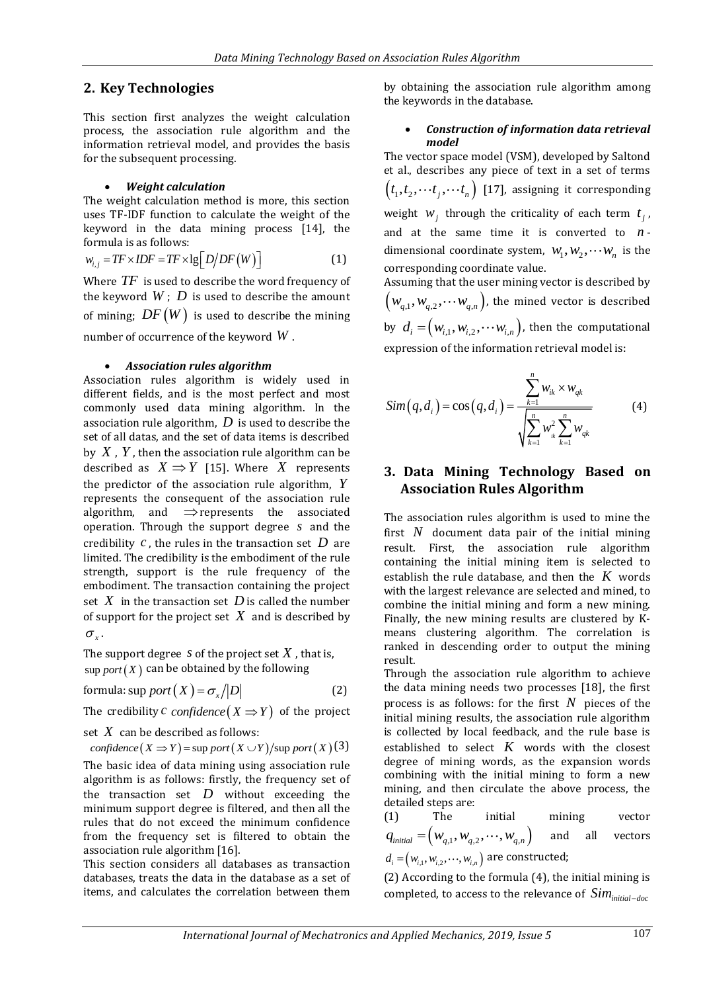# **2. Key Technologies**

This section first analyzes the weight calculation process, the association rule algorithm and the information retrieval model, and provides the basis for the subsequent processing.

### *Weight calculation*

The weight calculation method is more, this section uses TF-IDF function to calculate the weight of the keyword in the data mining process [14], the formula is as follows:

$$
w_{i,j} = TF \times IDF = TF \times \lg\big[D/DF(W)\big]
$$
 (1)

Where *TF* is used to describe the word frequency of the keyword  $W\,;\,D$  is used to describe the amount of mining;  $\mathit{DF}\left(W\right)$  is used to describe the mining number of occurrence of the keyword *W* .

#### *Association rules algorithm*

Association rules algorithm is widely used in different fields, and is the most perfect and most commonly used data mining algorithm. In the association rule algorithm, *D* is used to describe the set of all datas, and the set of data items is described by *X* , *Y* , then the association rule algorithm can be described as  $X \Rightarrow Y$  [15]. Where X represents the predictor of the association rule algorithm, *Y* represents the consequent of the association rule algorithm, and  $\Rightarrow$  represents the associated operation. Through the support degree *s* and the credibility *c* , the rules in the transaction set *D* are limited. The credibility is the embodiment of the rule strength, support is the rule frequency of the embodiment. The transaction containing the project set  $X$  in the transaction set  $D$  is called the number of support for the project set  $X$  and is described by  $\sigma_{\rm x}$ .

The support degree s of the project set  $X$  , that is,  $\sup$  *port*  $(X)$  can be obtained by the following

formula: 
$$
\sup \text{port}(X) = \sigma_x / |D|
$$
 (2)

The credibility  $c$  confidence  $(X \Rightarrow Y)$  of the project

set  $\,X\,$  can be described as follows:

set *X* can be described as follows:<br> *confidence*  $(X \Rightarrow Y)$  = sup *port*  $(X \cup Y)$ /sup *port*  $(X)$  (3)

The basic idea of data mining using association rule algorithm is as follows: firstly, the frequency set of the transaction set *D* without exceeding the minimum support degree is filtered, and then all the rules that do not exceed the minimum confidence from the frequency set is filtered to obtain the association rule algorithm [16].

This section considers all databases as transaction databases, treats the data in the database as a set of items, and calculates the correlation between them

by obtaining the association rule algorithm among the keywords in the database.

#### *Construction of information data retrieval model*

The vector space model (VSM), developed by Saltond et al., describes any piece of text in a set of terms  $\left(t_1, t_2, \cdots t_j, \cdots t_n\right)$  [17], assigning it corresponding weight  $w_j$  through the criticality of each term  $t_j$ , and at the same time it is converted to *<sup>n</sup>* dimensional coordinate system,  $w_1, w_2, \cdots w_n$  is the corresponding coordinate value.

Assuming that the user mining vector is described by  $\left(w_{q,1}, w_{q,2}, \cdots w_{q,n}\right)$ , the mined vector is described by  $d_i = (w_{i,1}, w_{i,2}, \cdots w_{i,n})$ , then the computational expression of the information retrieval model is:

$$
Sim(q, d_i) = cos(q, d_i) = \frac{\sum_{k=1}^{n} w_{ik} \times w_{qk}}{\sqrt{\sum_{k=1}^{n} w_{ik}^{2} \sum_{k=1}^{n} w_{qk}}}
$$
(4)

## **3. Data Mining Technology Based on Association Rules Algorithm**

The association rules algorithm is used to mine the first  $N$  document data pair of the initial mining result. First, the association rule algorithm containing the initial mining item is selected to establish the rule database, and then the  $K$  words with the largest relevance are selected and mined, to combine the initial mining and form a new mining. Finally, the new mining results are clustered by Kmeans clustering algorithm. The correlation is ranked in descending order to output the mining result.

Through the association rule algorithm to achieve the data mining needs two processes [18], the first process is as follows: for the first  $N$  pieces of the initial mining results, the association rule algorithm is collected by local feedback, and the rule base is established to select  $K$  words with the closest degree of mining words, as the expansion words combining with the initial mining to form a new mining, and then circulate the above process, the detailed steps are:

The initial mining vector  $q_{\textit{initial}} = \left(w_{q,1}, w_{q,2}, \cdots, w_{q,n}\right)$ and all vectors  $d_{i} = (w_{i,1}, w_{i,2}, \cdots, w_{i,n})$  are constructed;

(2) According to the formula (4), the initial mining is completed, to access to the relevance of  $Sim_{initial-doc}$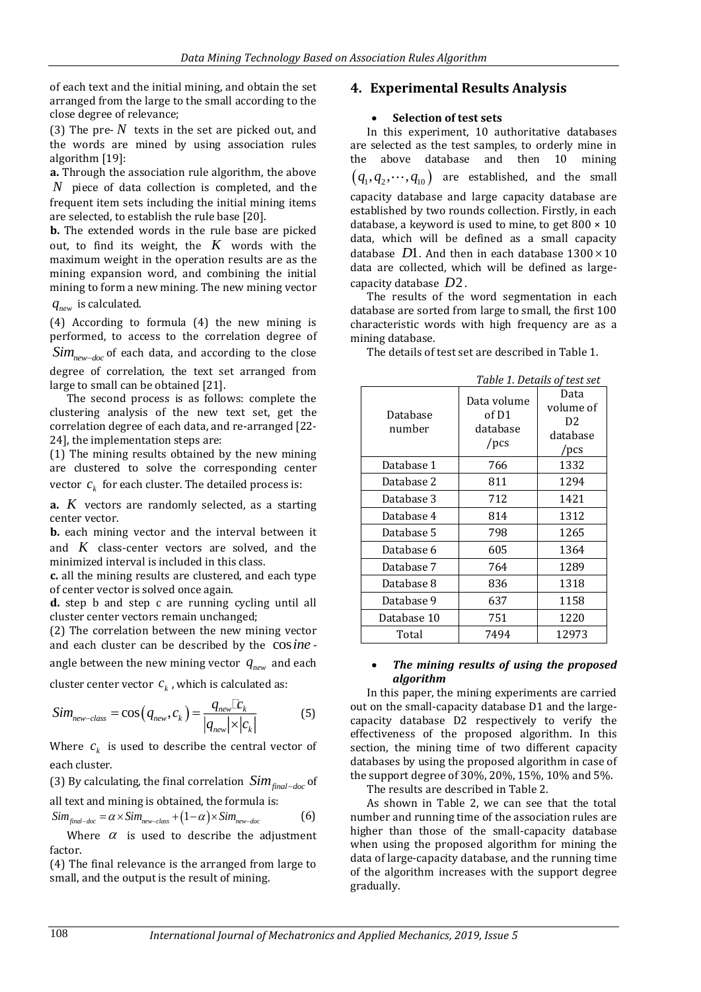of each text and the initial mining, and obtain the set arranged from the large to the small according to the close degree of relevance;

(3) The pre- $N$  texts in the set are picked out, and the words are mined by using association rules algorithm [19]:

**a.** Through the association rule algorithm, the above *N* piece of data collection is completed, and the frequent item sets including the initial mining items are selected, to establish the rule base [20].

**b.** The extended words in the rule base are picked out, to find its weight, the *K* words with the maximum weight in the operation results are as the mining expansion word, and combining the initial mining to form a new mining. The new mining vector

*new q* is calculated.

(4) According to formula (4) the new mining is performed, to access to the correlation degree of  $Sim_{new-doc}$  of each data, and according to the close degree of correlation, the text set arranged from large to small can be obtained [21].

The second process is as follows: complete the clustering analysis of the new text set, get the correlation degree of each data, and re-arranged [22- 24], the implementation steps are:

(1) The mining results obtained by the new mining are clustered to solve the corresponding center vector  $c_k^{\phantom{\dag}}$  for each cluster. The detailed process is:

**a.** *K* vectors are randomly selected, as a starting center vector.

**b.** each mining vector and the interval between it and *K* class-center vectors are solved, and the minimized interval is included in this class.

**c.** all the mining results are clustered, and each type of center vector is solved once again.

**d.** step b and step c are running cycling until all cluster center vectors remain unchanged;

(2) The correlation between the new mining vector and each cluster can be described by the cos*ine* angle between the new mining vector  $q_{\text{new}}$  and each

cluster center vector  $c_k$ , which is calculated as:

$$
Sim_{new-class} = \cos\left(q_{new}, c_k\right) = \frac{q_{new} \mathbb{E}_k}{|q_{new}| \times |c_k|}
$$
(5)

Where  $c_k$  is used to describe the central vector of each cluster.

(3) By calculating, the final correlation  $Sim_{final-doc}$  of all text and mining is obtained, the formula is:

$$
Sim_{\text{final-doc}} = \alpha \times Sim_{\text{new-class}} + (1 - \alpha) \times Sim_{\text{new-doc}} \tag{6}
$$

Where  $\alpha$  is used to describe the adjustment factor.

(4) The final relevance is the arranged from large to small, and the output is the result of mining.

### **4. Experimental Results Analysis**

#### **Selection of test sets**

In this experiment, 10 authoritative databases are selected as the test samples, to orderly mine in the above database and then 10 mining  $\left( q_1, q_2, \cdots, q_{10} \right)$  are established, and the small capacity database and large capacity database are established by two rounds collection. Firstly, in each database, a keyword is used to mine, to get  $800 \times 10$ data, which will be defined as a small capacity database  $D1$ . And then in each database  $1300 \times 10$ data are collected, which will be defined as largecapacity database *D*2.

The results of the word segmentation in each database are sorted from large to small, the first 100 characteristic words with high frequency are as a mining database.

The details of test set are described in Table 1.

| Database<br>number | Data volume<br>of D1<br>database<br>$/$ pcs | TUDIC I. DELUIIS OF LESE SEL<br>Data<br>volume of<br>D <sub>2</sub><br>database<br>/pcs |
|--------------------|---------------------------------------------|-----------------------------------------------------------------------------------------|
| Database 1         | 766                                         | 1332                                                                                    |
| Database 2         | 811                                         | 1294                                                                                    |
| Database 3         | 712                                         | 1421                                                                                    |
| Database 4         | 814                                         | 1312                                                                                    |
| Database 5         | 798                                         | 1265                                                                                    |
| Database 6         | 605                                         | 1364                                                                                    |
| Database 7         | 764                                         | 1289                                                                                    |
| Database 8         | 836                                         | 1318                                                                                    |
| Database 9         | 637                                         | 1158                                                                                    |
| Database 10        | 751                                         | 1220                                                                                    |
| Total              | 7494                                        | 12973                                                                                   |

*Table 1. Details of test set*

#### *The mining results of using the proposed algorithm*

In this paper, the mining experiments are carried out on the small-capacity database D1 and the largecapacity database D2 respectively to verify the effectiveness of the proposed algorithm. In this section, the mining time of two different capacity databases by using the proposed algorithm in case of the support degree of 30%, 20%, 15%, 10% and 5%.

The results are described in Table 2.

As shown in Table 2, we can see that the total number and running time of the association rules are higher than those of the small-capacity database when using the proposed algorithm for mining the data of large-capacity database, and the running time of the algorithm increases with the support degree gradually.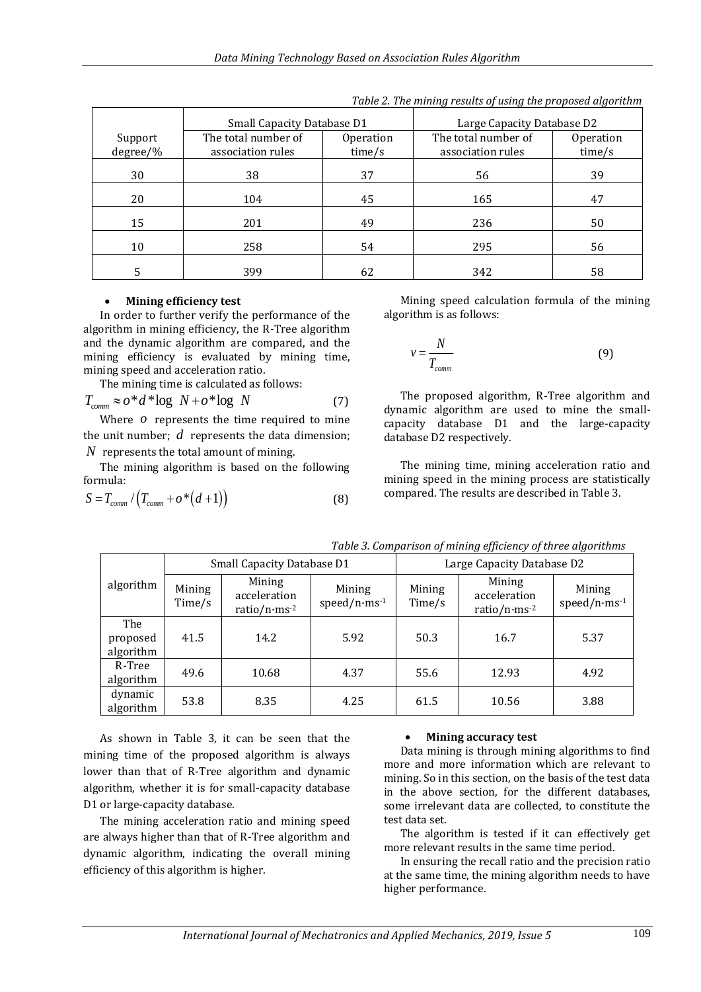|          | Small Capacity Database D1 |           | Large Capacity Database D2 |           |
|----------|----------------------------|-----------|----------------------------|-----------|
| Support  | The total number of        | Operation | The total number of        | Operation |
| degree/% | association rules          | time/s    | association rules          | time/s    |
| 30       | 38                         | 37        | 56                         | 39        |
| 20       | 104                        | 45        | 165                        | 47        |
| 15       | 201                        | 49        | 236                        | 50        |
| 10       | 258                        | 54        | 295                        | 56        |
| 5        | 399                        | 62        | 342                        | 58        |

*Table 2. The mining results of using the proposed algorithm*

#### **Mining efficiency test**

In order to further verify the performance of the algorithm in mining efficiency, the R-Tree algorithm and the dynamic algorithm are compared, and the mining efficiency is evaluated by mining time, mining speed and acceleration ratio.

The mining time is calculated as follows:

$$
T_{comm} \approx o^*d^*log N + o^*log N \tag{7}
$$

Where  *represents the time required to mine* the unit number;  $d$  represents the data dimension; *N* represents the total amount of mining.

The mining algorithm is based on the following formula:

$$
S = T_{comm} / (T_{comm} + o^{*}(d+1))
$$
 (8)

Mining speed calculation formula of the mining algorithm is as follows:

$$
v = \frac{N}{T_{comm}} \tag{9}
$$

The proposed algorithm, R-Tree algorithm and dynamic algorithm are used to mine the smallcapacity database D1 and the large-capacity database D2 respectively.

The mining time, mining acceleration ratio and mining speed in the mining process are statistically compared. The results are described in Table 3.

|                              | <b>Small Capacity Database D1</b> |                                                    |                                      | Large Capacity Database D2 |                                                    |                                            |
|------------------------------|-----------------------------------|----------------------------------------------------|--------------------------------------|----------------------------|----------------------------------------------------|--------------------------------------------|
| algorithm                    | Mining<br>Time/s                  | Mining<br>acceleration<br>ratio/n·ms <sup>-2</sup> | Mining<br>speed/n $\cdot$ ms $^{-1}$ | Mining<br>Time/s           | Mining<br>acceleration<br>ratio/n·ms <sup>-2</sup> | Mining<br>speed/n $\cdot$ ms <sup>-1</sup> |
| The<br>proposed<br>algorithm | 41.5                              | 14.2                                               | 5.92                                 | 50.3                       | 16.7                                               | 5.37                                       |
| R-Tree<br>algorithm          | 49.6                              | 10.68                                              | 4.37                                 | 55.6                       | 12.93                                              | 4.92                                       |
| dynamic<br>algorithm         | 53.8                              | 8.35                                               | 4.25                                 | 61.5                       | 10.56                                              | 3.88                                       |

*Table 3. Comparison of mining efficiency of three algorithms*

As shown in Table 3, it can be seen that the mining time of the proposed algorithm is always lower than that of R-Tree algorithm and dynamic algorithm, whether it is for small-capacity database D1 or large-capacity database.

The mining acceleration ratio and mining speed are always higher than that of R-Tree algorithm and dynamic algorithm, indicating the overall mining efficiency of this algorithm is higher.

### **Mining accuracy test**

Data mining is through mining algorithms to find more and more information which are relevant to mining. So in this section, on the basis of the test data in the above section, for the different databases, some irrelevant data are collected, to constitute the test data set.

The algorithm is tested if it can effectively get more relevant results in the same time period.

In ensuring the recall ratio and the precision ratio at the same time, the mining algorithm needs to have higher performance.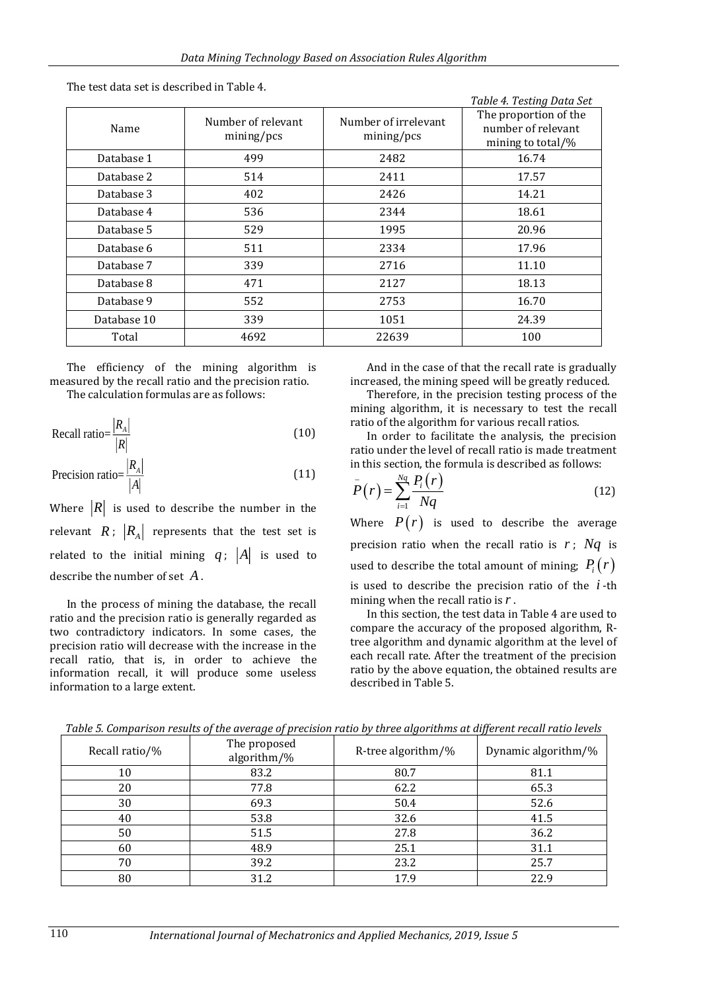| Name        | Number of relevant<br>mining/pcs | Number of irrelevant<br>mining/pcs | rabic 1. resulty baca bec<br>The proportion of the<br>number of relevant<br>mining to total/% |
|-------------|----------------------------------|------------------------------------|-----------------------------------------------------------------------------------------------|
| Database 1  | 499                              | 2482                               | 16.74                                                                                         |
| Database 2  | 514                              | 2411                               | 17.57                                                                                         |
| Database 3  | 402                              | 2426                               | 14.21                                                                                         |
| Database 4  | 536                              | 2344                               | 18.61                                                                                         |
| Database 5  | 529                              | 1995                               | 20.96                                                                                         |
| Database 6  | 511                              | 2334                               | 17.96                                                                                         |
| Database 7  | 339                              | 2716                               | 11.10                                                                                         |
| Database 8  | 471                              | 2127                               | 18.13                                                                                         |
| Database 9  | 552                              | 2753                               | 16.70                                                                                         |
| Database 10 | 339                              | 1051                               | 24.39                                                                                         |
| Total       | 4692                             | 22639                              | 100                                                                                           |

The test data set is described in Table 4.

The efficiency of the mining algorithm is measured by the recall ratio and the precision ratio. The calculation formulas are as follows:

$$
\text{Recall ratio} = \frac{|R_A|}{|R|} \tag{10}
$$

$$
\text{Precision ratio} = \frac{|R_A|}{|A|} \tag{11}
$$

Where  $|R|$  is used to describe the number in the relevant  $R$ ;  $|R_A|$  represents that the test set is related to the initial mining  $q$ ;  $|A|$  is used to describe the number of set *A* .

In the process of mining the database, the recall ratio and the precision ratio is generally regarded as two contradictory indicators. In some cases, the precision ratio will decrease with the increase in the recall ratio, that is, in order to achieve the information recall, it will produce some useless information to a large extent.

And in the case of that the recall rate is gradually increased, the mining speed will be greatly reduced.

*Table 4. Testing Data Set*

Therefore, in the precision testing process of the mining algorithm, it is necessary to test the recall ratio of the algorithm for various recall ratios.

In order to facilitate the analysis, the precision ratio under the level of recall ratio is made treatment in this section, the formula is described as follows:

$$
P(r) = \sum_{i=1}^{Nq} \frac{P_i(r)}{Nq}
$$
 (12)

Where  $P(r)$  is used to describe the average precision ratio when the recall ratio is  $r$ ;  $Nq$  is used to describe the total amount of mining;  $P_i(r)$ is used to describe the precision ratio of the *i* -th mining when the recall ratio is *r* .

In this section, the test data in Table 4 are used to compare the accuracy of the proposed algorithm, Rtree algorithm and dynamic algorithm at the level of each recall rate. After the treatment of the precision ratio by the above equation, the obtained results are described in Table 5.

| Recall ratio/% | The proposed<br>algorithm/% | R-tree algorithm/% | Dynamic algorithm/% |
|----------------|-----------------------------|--------------------|---------------------|
| 10             | 83.2                        | 80.7               | 81.1                |
| 20             | 77.8                        | 62.2               | 65.3                |
| 30             | 69.3                        | 50.4               | 52.6                |
| 40             | 53.8                        | 32.6               | 41.5                |
| 50             | 51.5                        | 27.8               | 36.2                |
| 60             | 48.9                        | 25.1               | 31.1                |
| 70             | 39.2                        | 23.2               | 25.7                |
| 80             | 31.2                        | 17.9               | 22.9                |

*Table 5. Comparison results of the average of precision ratio by three algorithms at different recall ratio levels*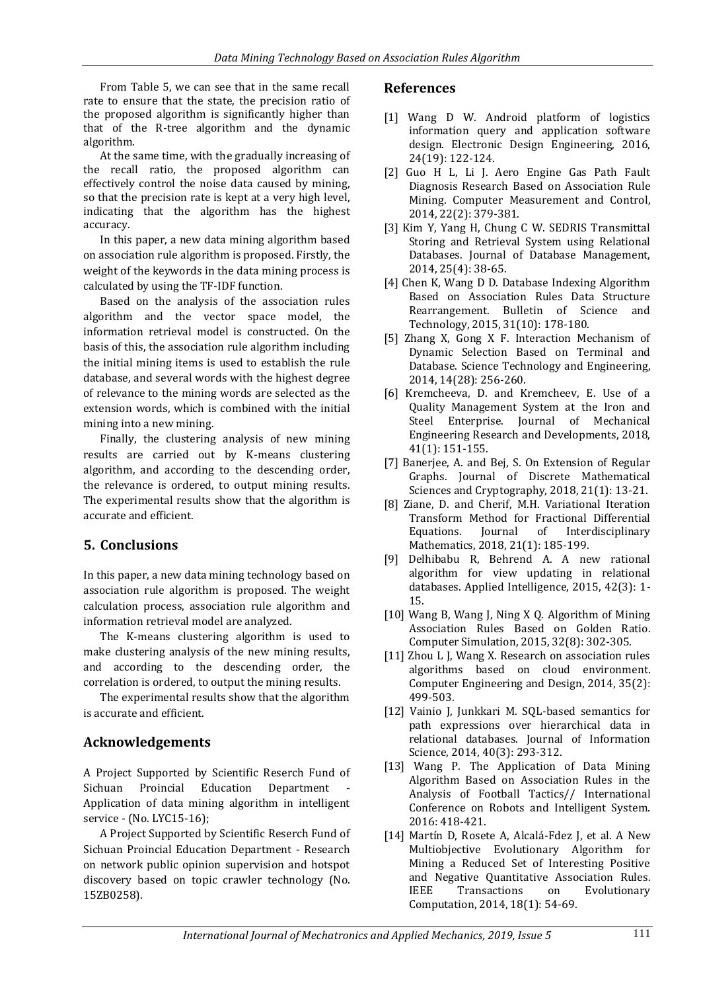From Table 5, we can see that in the same recall rate to ensure that the state, the precision ratio of the proposed algorithm is significantly higher than that of the R-tree algorithm and the dynamic algorithm.

At the same time, with the gradually increasing of the recall ratio, the proposed algorithm can effectively control the noise data caused by mining, so that the precision rate is kept at a very high level, indicating that the algorithm has the highest accuracy.

In this paper, a new data mining algorithm based on association rule algorithm is proposed. Firstly, the weight of the keywords in the data mining process is calculated by using the TF-IDF function.

Based on the analysis of the association rules algorithm and the vector space model, the information retrieval model is constructed. On the basis of this, the association rule algorithm including the initial mining items is used to establish the rule database, and several words with the highest degree of relevance to the mining words are selected as the extension words, which is combined with the initial mining into a new mining.

Finally, the clustering analysis of new mining results are carried out by K-means clustering algorithm, and according to the descending order, the relevance is ordered, to output mining results. The experimental results show that the algorithm is accurate and efficient.

# **5. Conclusions**

In this paper, a new data mining technology based on association rule algorithm is proposed. The weight calculation process, association rule algorithm and information retrieval model are analyzed.

The K-means clustering algorithm is used to make clustering analysis of the new mining results, and according to the descending order, the correlation is ordered, to output the mining results.

The experimental results show that the algorithm is accurate and efficient.

# **Acknowledgements**

A Project Supported by Scientific Reserch Fund of Sichuan Proincial Education Department Application of data mining algorithm in intelligent service - (No. LYC15-16);

A Project Supported by Scientific Reserch Fund of Sichuan Proincial Education Department - Research on network public opinion supervision and hotspot discovery based on topic crawler technology (No. 15ZB0258).

# **References**

- [1] Wang D W. Android platform of logistics information query and application software design. Electronic Design Engineering, 2016, 24(19): 122-124.
- [2] Guo H L, Li J. Aero Engine Gas Path Fault Diagnosis Research Based on Association Rule Mining. Computer Measurement and Control, 2014, 22(2): 379-381.
- [3] Kim Y, Yang H, Chung C W. SEDRIS Transmittal Storing and Retrieval System using Relational Databases. Journal of Database Management, 2014, 25(4): 38-65.
- [4] Chen K, Wang D D. Database Indexing Algorithm Based on Association Rules Data Structure Rearrangement. Bulletin of Science and Technology, 2015, 31(10): 178-180.
- [5] Zhang X, Gong X F. Interaction Mechanism of Dynamic Selection Based on Terminal and Database. Science Technology and Engineering, 2014, 14(28): 256-260.
- [6] Kremcheeva, D. and Kremcheev, E. Use of a Quality Management System at the Iron and Steel Enterprise. Journal of Mechanical Engineering Research and Developments, 2018, 41(1): 151-155.
- [7] Banerjee, A. and Bej, S. On Extension of Regular Graphs. Journal of Discrete Mathematical Sciences and Cryptography, 2018, 21(1): 13-21.
- [8] Ziane, D. and Cherif, M.H. Variational Iteration Transform Method for Fractional Differential Equations. Journal of Interdisciplinary Mathematics, 2018, 21(1): 185-199.
- [9] Delhibabu R, Behrend A. A new rational algorithm for view updating in relational databases. Applied Intelligence, 2015, 42(3): 1- 15.
- [10] Wang B, Wang J, Ning X Q. Algorithm of Mining Association Rules Based on Golden Ratio. Computer Simulation, 2015, 32(8): 302-305.
- [11] Zhou L J, Wang X. Research on association rules algorithms based on cloud environment. Computer Engineering and Design, 2014, 35(2): 499-503.
- [12] Vainio J, Junkkari M. SQL-based semantics for path expressions over hierarchical data in relational databases. Journal of Information Science, 2014, 40(3): 293-312.
- [13] Wang P. The Application of Data Mining Algorithm Based on Association Rules in the Analysis of Football Tactics// International Conference on Robots and Intelligent System. 2016: 418-421.
- [14] Martín D, Rosete A, Alcalá-Fdez J, et al. A New Multiobjective Evolutionary Algorithm for Mining a Reduced Set of Interesting Positive and Negative Quantitative Association Rules. IEEE Transactions on Evolutionary Computation, 2014, 18(1): 54-69.